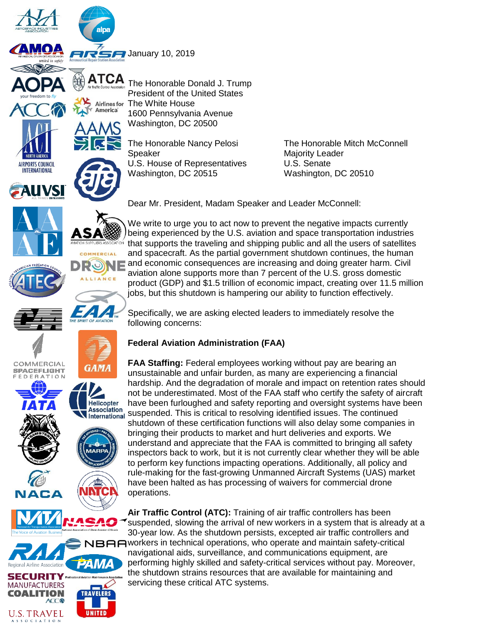

**America** 

 $\n *JR*$  January 10, 2019



**UVSI** 

COMMERCIAL

**SPACEFLIGHT** FEDERATION

nal Airline Association **SECURITY** \*\* **MANUFACTURERS COALITION** 

**U.S. TRAVEL** 

OCIATION

**ACC** 

The Honorable Donald J. Trump President of the United States The White House **Airlines for** 1600 Pennsylvania Avenue Washington, DC 20500



**COMMERCIAL** 

**GAMA** 

Helicopter nencopier<br>Association<br>International

24 IV

**TRAVELERS** 

UNITED

DR

Speaker Majority Leader U.S. House of Representatives U.S. Senate Washington, DC 20515 Washington, DC 20510

The Honorable Nancy Pelosi The Honorable Mitch McConnell

Dear Mr. President, Madam Speaker and Leader McConnell:

We write to urge you to act now to prevent the negative impacts currently being experienced by the U.S. aviation and space transportation industries that supports the traveling and shipping public and all the users of satellites and spacecraft. As the partial government shutdown continues, the human and economic consequences are increasing and doing greater harm. Civil aviation alone supports more than 7 percent of the U.S. gross domestic product (GDP) and \$1.5 trillion of economic impact, creating over 11.5 million jobs, but this shutdown is hampering our ability to function effectively.

Specifically, we are asking elected leaders to immediately resolve the following concerns:

## **Federal Aviation Administration (FAA)**

**FAA Staffing:** Federal employees working without pay are bearing an unsustainable and unfair burden, as many are experiencing a financial hardship. And the degradation of morale and impact on retention rates should not be underestimated. Most of the FAA staff who certify the safety of aircraft have been furloughed and safety reporting and oversight systems have been suspended. This is critical to resolving identified issues. The continued International shutdown of these certification functions will also delay some companies in bringing their products to market and hurt deliveries and exports. We understand and appreciate that the FAA is committed to bringing all safety inspectors back to work, but it is not currently clear whether they will be able to perform key functions impacting operations. Additionally, all policy and rule-making for the fast-growing Unmanned Aircraft Systems (UAS) market have been halted as has processing of waivers for commercial drone operations.

> **Air Traffic Control (ATC):** Training of air traffic controllers has been suspended, slowing the arrival of new workers in a system that is already at a 30-year low. As the shutdown persists, excepted air traffic controllers and

BAA workers in technical operations, who operate and maintain safety-critical navigational aids, surveillance, and communications equipment, are performing highly skilled and safety-critical services without pay. Moreover, the shutdown strains resources that are available for maintaining and servicing these critical ATC systems.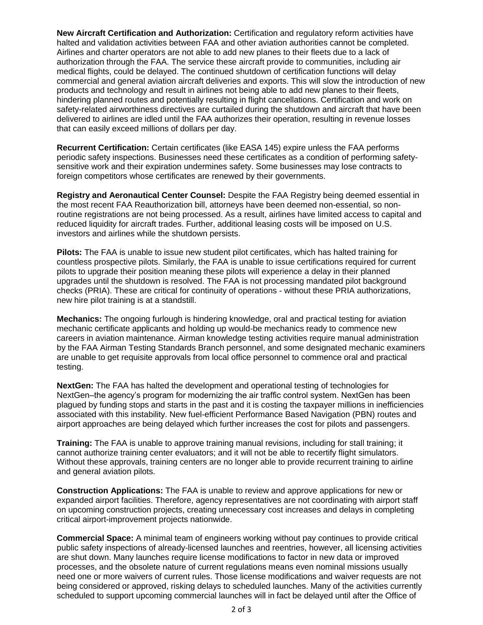**New Aircraft Certification and Authorization:** Certification and regulatory reform activities have halted and validation activities between FAA and other aviation authorities cannot be completed. Airlines and charter operators are not able to add new planes to their fleets due to a lack of authorization through the FAA. The service these aircraft provide to communities, including air medical flights, could be delayed. The continued shutdown of certification functions will delay commercial and general aviation aircraft deliveries and exports. This will slow the introduction of new products and technology and result in airlines not being able to add new planes to their fleets, hindering planned routes and potentially resulting in flight cancellations. Certification and work on safety-related airworthiness directives are curtailed during the shutdown and aircraft that have been delivered to airlines are idled until the FAA authorizes their operation, resulting in revenue losses that can easily exceed millions of dollars per day.

**Recurrent Certification:** Certain certificates (like EASA 145) expire unless the FAA performs periodic safety inspections. Businesses need these certificates as a condition of performing safetysensitive work and their expiration undermines safety. Some businesses may lose contracts to foreign competitors whose certificates are renewed by their governments.

**Registry and Aeronautical Center Counsel:** Despite the FAA Registry being deemed essential in the most recent FAA Reauthorization bill, attorneys have been deemed non-essential, so nonroutine registrations are not being processed. As a result, airlines have limited access to capital and reduced liquidity for aircraft trades. Further, additional leasing costs will be imposed on U.S. investors and airlines while the shutdown persists.

**Pilots:** The FAA is unable to issue new student pilot certificates, which has halted training for countless prospective pilots. Similarly, the FAA is unable to issue certifications required for current pilots to upgrade their position meaning these pilots will experience a delay in their planned upgrades until the shutdown is resolved. The FAA is not processing mandated pilot background checks (PRIA). These are critical for continuity of operations - without these PRIA authorizations, new hire pilot training is at a standstill.

**Mechanics:** The ongoing furlough is hindering knowledge, oral and practical testing for aviation mechanic certificate applicants and holding up would-be mechanics ready to commence new careers in aviation maintenance. Airman knowledge testing activities require manual administration by the FAA Airman Testing Standards Branch personnel, and some designated mechanic examiners are unable to get requisite approvals from local office personnel to commence oral and practical testing.

**NextGen:** The FAA has halted the development and operational testing of technologies for NextGen–the agency's program for modernizing the air traffic control system. NextGen has been plagued by funding stops and starts in the past and it is costing the taxpayer millions in inefficiencies associated with this instability. New fuel-efficient Performance Based Navigation (PBN) routes and airport approaches are being delayed which further increases the cost for pilots and passengers.

**Training:** The FAA is unable to approve training manual revisions, including for stall training; it cannot authorize training center evaluators; and it will not be able to recertify flight simulators. Without these approvals, training centers are no longer able to provide recurrent training to airline and general aviation pilots.

**Construction Applications:** The FAA is unable to review and approve applications for new or expanded airport facilities. Therefore, agency representatives are not coordinating with airport staff on upcoming construction projects, creating unnecessary cost increases and delays in completing critical airport-improvement projects nationwide.

**Commercial Space:** A minimal team of engineers working without pay continues to provide critical public safety inspections of already-licensed launches and reentries, however, all licensing activities are shut down. Many launches require license modifications to factor in new data or improved processes, and the obsolete nature of current regulations means even nominal missions usually need one or more waivers of current rules. Those license modifications and waiver requests are not being considered or approved, risking delays to scheduled launches. Many of the activities currently scheduled to support upcoming commercial launches will in fact be delayed until after the Office of